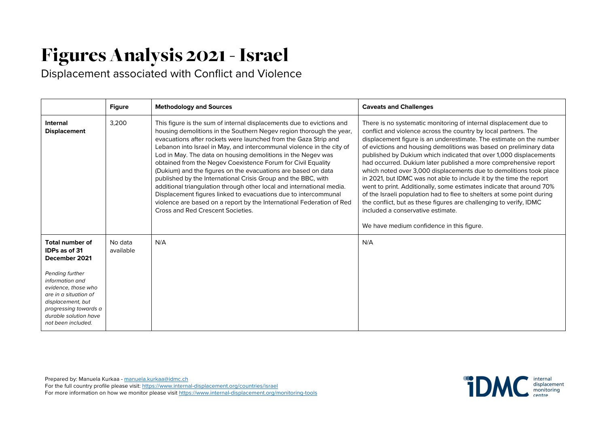## Figures Analysis 2021-Israel

Displacement associated with Conflict and Violence

|                                                                                                                                                                                                                                                    | <b>Figure</b>        | <b>Methodology and Sources</b>                                                                                                                                                                                                                                                                                                                                                                                                                                                                                                                                                                                                                                                                                                                                                                                       | <b>Caveats and Challenges</b>                                                                                                                                                                                                                                                                                                                                                                                                                                                                                                                                                                                                                                                                                                                                                                                                                                                     |
|----------------------------------------------------------------------------------------------------------------------------------------------------------------------------------------------------------------------------------------------------|----------------------|----------------------------------------------------------------------------------------------------------------------------------------------------------------------------------------------------------------------------------------------------------------------------------------------------------------------------------------------------------------------------------------------------------------------------------------------------------------------------------------------------------------------------------------------------------------------------------------------------------------------------------------------------------------------------------------------------------------------------------------------------------------------------------------------------------------------|-----------------------------------------------------------------------------------------------------------------------------------------------------------------------------------------------------------------------------------------------------------------------------------------------------------------------------------------------------------------------------------------------------------------------------------------------------------------------------------------------------------------------------------------------------------------------------------------------------------------------------------------------------------------------------------------------------------------------------------------------------------------------------------------------------------------------------------------------------------------------------------|
| Internal<br><b>Displacement</b>                                                                                                                                                                                                                    | 3,200                | This figure is the sum of internal displacements due to evictions and<br>housing demolitions in the Southern Negev region thorough the year,<br>evacuations after rockets were launched from the Gaza Strip and<br>Lebanon into Israel in May, and intercommunal violence in the city of<br>Lod in May. The data on housing demolitions in the Negev was<br>obtained from the Negev Coexistence Forum for Civil Equality<br>(Dukium) and the figures on the evacuations are based on data<br>published by the International Crisis Group and the BBC, with<br>additional triangulation through other local and international media.<br>Displacement figures linked to evacuations due to intercommunal<br>violence are based on a report by the International Federation of Red<br>Cross and Red Crescent Societies. | There is no systematic monitoring of internal displacement due to<br>conflict and violence across the country by local partners. The<br>displacement figure is an underestimate. The estimate on the number<br>of evictions and housing demolitions was based on preliminary data<br>published by Dukium which indicated that over 1,000 displacements<br>had occurred. Dukium later published a more comprehensive report<br>which noted over 3,000 displacements due to demolitions took place<br>in 2021, but IDMC was not able to include it by the time the report<br>went to print. Additionally, some estimates indicate that around 70%<br>of the Israeli population had to flee to shelters at some point during<br>the conflict, but as these figures are challenging to verify, IDMC<br>included a conservative estimate.<br>We have medium confidence in this figure. |
| <b>Total number of</b><br><b>IDPs as of 31</b><br>December 2021<br>Pending further<br>information and<br>evidence, those who<br>are in a situation of<br>displacement, but<br>progressing towards a<br>durable solution have<br>not been included. | No data<br>available | N/A                                                                                                                                                                                                                                                                                                                                                                                                                                                                                                                                                                                                                                                                                                                                                                                                                  | N/A                                                                                                                                                                                                                                                                                                                                                                                                                                                                                                                                                                                                                                                                                                                                                                                                                                                                               |